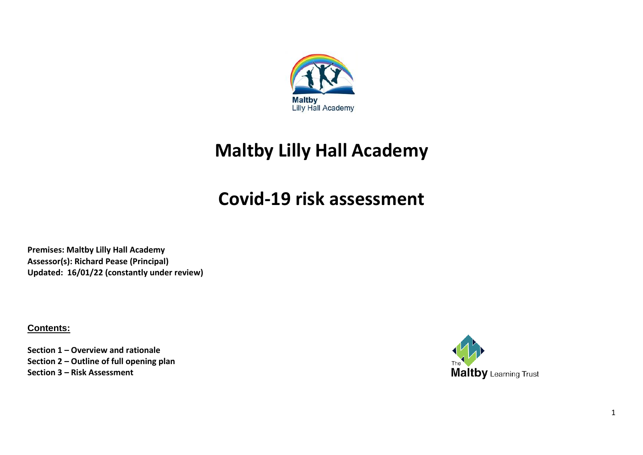

# **Maltby Lilly Hall Academy**

# **Covid-19 risk assessment**

**Premises: Maltby Lilly Hall Academy Assessor(s): Richard Pease (Principal) Updated: 16/01/22 (constantly under review)**

**Contents:**

**Section 1 – Overview and rationale Section 2 – Outline of full opening plan Section 3 – Risk Assessment**

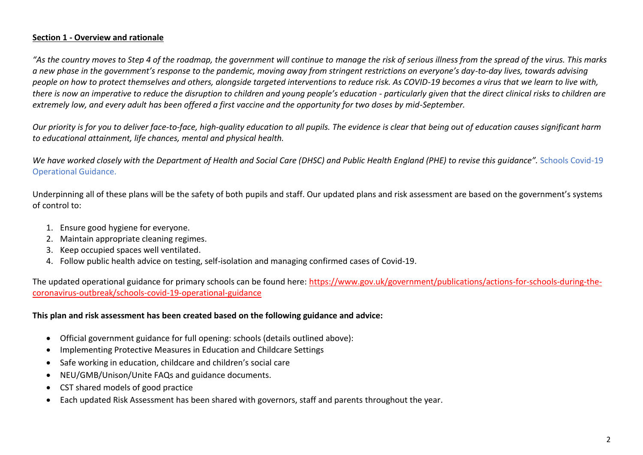## **Section 1 - Overview and rationale**

*"As the country moves to Step 4 of the roadmap, the government will continue to manage the risk of serious illness from the spread of the virus. This marks a new phase in the government's response to the pandemic, moving away from stringent restrictions on everyone's day-to-day lives, towards advising people on how to protect themselves and others, alongside targeted interventions to reduce risk. As COVID-19 becomes a virus that we learn to live with,*  there is now an imperative to reduce the disruption to children and young people's education - particularly given that the direct clinical risks to children are *extremely low, and every adult has been offered a first vaccine and the opportunity for two doses by mid-September.*

*Our priority is for you to deliver face-to-face, high-quality education to all pupils. The evidence is clear that being out of education causes significant harm to educational attainment, life chances, mental and physical health.* 

*We have worked closely with the Department of Health and Social Care (DHSC) and Public Health England (PHE) to revise this guidance".* Schools Covid-19 Operational Guidance.

Underpinning all of these plans will be the safety of both pupils and staff. Our updated plans and risk assessment are based on the government's systems of control to:

- 1. Ensure good hygiene for everyone.
- 2. Maintain appropriate cleaning regimes.
- 3. Keep occupied spaces well ventilated.
- 4. Follow public health advice on testing, self-isolation and managing confirmed cases of Covid-19.

The updated operational guidance for primary schools can be found here: [https://www.gov.uk/government/publications/actions-for-schools-during-the](https://www.gov.uk/government/publications/actions-for-schools-during-the-coronavirus-outbreak/schools-covid-19-operational-guidance)[coronavirus-outbreak/schools-covid-19-operational-guidance](https://www.gov.uk/government/publications/actions-for-schools-during-the-coronavirus-outbreak/schools-covid-19-operational-guidance)

#### **This plan and risk assessment has been created based on the following guidance and advice:**

- Official government guidance for full opening: schools (details outlined above):
- Implementing Protective Measures in Education and Childcare Settings
- Safe working in education, childcare and children's social care
- NEU/GMB/Unison/Unite FAQs and guidance documents.
- CST shared models of good practice
- Each updated Risk Assessment has been shared with governors, staff and parents throughout the year.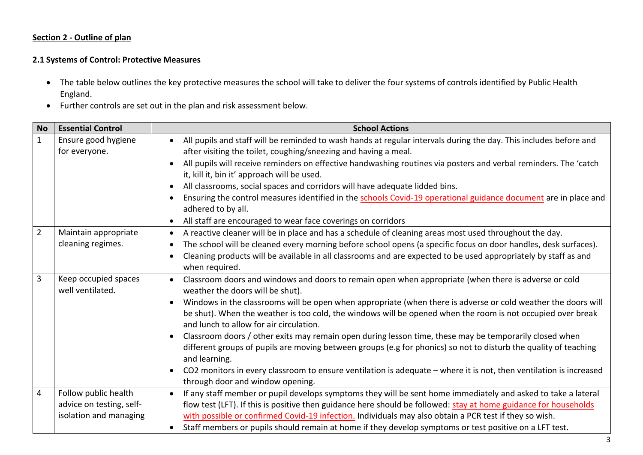#### **Section 2 - Outline of plan**

## **2.1 Systems of Control: Protective Measures**

- The table below outlines the key protective measures the school will take to deliver the four systems of controls identified by Public Health England.
- Further controls are set out in the plan and risk assessment below.

| <b>No</b>      | <b>Essential Control</b>                 | <b>School Actions</b>                                                                                                                                                                             |  |  |  |  |
|----------------|------------------------------------------|---------------------------------------------------------------------------------------------------------------------------------------------------------------------------------------------------|--|--|--|--|
| $\mathbf{1}$   | Ensure good hygiene<br>for everyone.     | All pupils and staff will be reminded to wash hands at regular intervals during the day. This includes before and<br>$\bullet$<br>after visiting the toilet, coughing/sneezing and having a meal. |  |  |  |  |
|                |                                          | All pupils will receive reminders on effective handwashing routines via posters and verbal reminders. The 'catch<br>it, kill it, bin it' approach will be used.                                   |  |  |  |  |
|                |                                          | All classrooms, social spaces and corridors will have adequate lidded bins.<br>$\bullet$                                                                                                          |  |  |  |  |
|                |                                          | Ensuring the control measures identified in the schools Covid-19 operational guidance document are in place and<br>adhered to by all.                                                             |  |  |  |  |
|                |                                          | All staff are encouraged to wear face coverings on corridors                                                                                                                                      |  |  |  |  |
| $\overline{2}$ | Maintain appropriate                     | A reactive cleaner will be in place and has a schedule of cleaning areas most used throughout the day.<br>$\bullet$                                                                               |  |  |  |  |
|                | cleaning regimes.                        | The school will be cleaned every morning before school opens (a specific focus on door handles, desk surfaces).                                                                                   |  |  |  |  |
|                |                                          | Cleaning products will be available in all classrooms and are expected to be used appropriately by staff as and<br>when required.                                                                 |  |  |  |  |
| $\overline{3}$ | Keep occupied spaces<br>well ventilated. | Classroom doors and windows and doors to remain open when appropriate (when there is adverse or cold<br>weather the doors will be shut).                                                          |  |  |  |  |
|                |                                          | Windows in the classrooms will be open when appropriate (when there is adverse or cold weather the doors will                                                                                     |  |  |  |  |
|                |                                          | be shut). When the weather is too cold, the windows will be opened when the room is not occupied over break<br>and lunch to allow for air circulation.                                            |  |  |  |  |
|                |                                          | Classroom doors / other exits may remain open during lesson time, these may be temporarily closed when                                                                                            |  |  |  |  |
|                |                                          | different groups of pupils are moving between groups (e.g for phonics) so not to disturb the quality of teaching<br>and learning.                                                                 |  |  |  |  |
|                |                                          | CO2 monitors in every classroom to ensure ventilation is adequate - where it is not, then ventilation is increased<br>$\bullet$<br>through door and window opening.                               |  |  |  |  |
| $\overline{4}$ | Follow public health                     | If any staff member or pupil develops symptoms they will be sent home immediately and asked to take a lateral                                                                                     |  |  |  |  |
|                | advice on testing, self-                 | flow test (LFT). If this is positive then guidance here should be followed: stay at home guidance for households                                                                                  |  |  |  |  |
|                | isolation and managing                   | with possible or confirmed Covid-19 infection. Individuals may also obtain a PCR test if they so wish.                                                                                            |  |  |  |  |
|                |                                          | Staff members or pupils should remain at home if they develop symptoms or test positive on a LFT test.                                                                                            |  |  |  |  |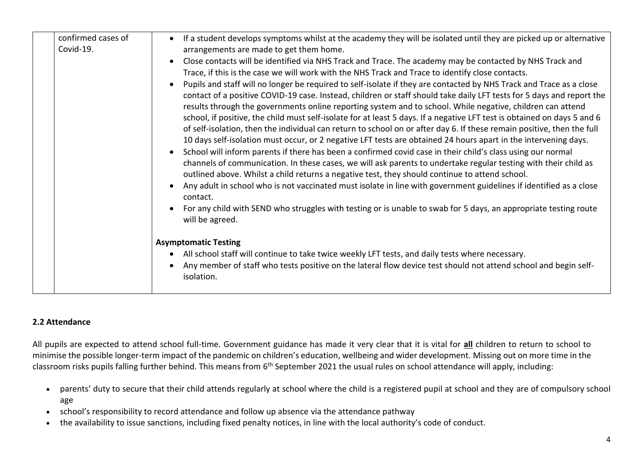| confirmed cases of | If a student develops symptoms whilst at the academy they will be isolated until they are picked up or alternative<br>$\bullet$                                                                                                                                                                                                                                                                                                                                                                                                                                                                                                                                                                                                                                                                                                                                                                                                                                                                                                                                                                                                                                                                                        |
|--------------------|------------------------------------------------------------------------------------------------------------------------------------------------------------------------------------------------------------------------------------------------------------------------------------------------------------------------------------------------------------------------------------------------------------------------------------------------------------------------------------------------------------------------------------------------------------------------------------------------------------------------------------------------------------------------------------------------------------------------------------------------------------------------------------------------------------------------------------------------------------------------------------------------------------------------------------------------------------------------------------------------------------------------------------------------------------------------------------------------------------------------------------------------------------------------------------------------------------------------|
| Covid-19.          | arrangements are made to get them home.                                                                                                                                                                                                                                                                                                                                                                                                                                                                                                                                                                                                                                                                                                                                                                                                                                                                                                                                                                                                                                                                                                                                                                                |
|                    | Close contacts will be identified via NHS Track and Trace. The academy may be contacted by NHS Track and                                                                                                                                                                                                                                                                                                                                                                                                                                                                                                                                                                                                                                                                                                                                                                                                                                                                                                                                                                                                                                                                                                               |
|                    | Trace, if this is the case we will work with the NHS Track and Trace to identify close contacts.                                                                                                                                                                                                                                                                                                                                                                                                                                                                                                                                                                                                                                                                                                                                                                                                                                                                                                                                                                                                                                                                                                                       |
|                    | Pupils and staff will no longer be required to self-isolate if they are contacted by NHS Track and Trace as a close<br>contact of a positive COVID-19 case. Instead, children or staff should take daily LFT tests for 5 days and report the<br>results through the governments online reporting system and to school. While negative, children can attend<br>school, if positive, the child must self-isolate for at least 5 days. If a negative LFT test is obtained on days 5 and 6<br>of self-isolation, then the individual can return to school on or after day 6. If these remain positive, then the full<br>10 days self-isolation must occur, or 2 negative LFT tests are obtained 24 hours apart in the intervening days.<br>School will inform parents if there has been a confirmed covid case in their child's class using our normal<br>$\bullet$<br>channels of communication. In these cases, we will ask parents to undertake regular testing with their child as<br>outlined above. Whilst a child returns a negative test, they should continue to attend school.<br>Any adult in school who is not vaccinated must isolate in line with government guidelines if identified as a close<br>contact. |
|                    | For any child with SEND who struggles with testing or is unable to swab for 5 days, an appropriate testing route<br>will be agreed.                                                                                                                                                                                                                                                                                                                                                                                                                                                                                                                                                                                                                                                                                                                                                                                                                                                                                                                                                                                                                                                                                    |
|                    | <b>Asymptomatic Testing</b>                                                                                                                                                                                                                                                                                                                                                                                                                                                                                                                                                                                                                                                                                                                                                                                                                                                                                                                                                                                                                                                                                                                                                                                            |
|                    | All school staff will continue to take twice weekly LFT tests, and daily tests where necessary.<br>$\bullet$                                                                                                                                                                                                                                                                                                                                                                                                                                                                                                                                                                                                                                                                                                                                                                                                                                                                                                                                                                                                                                                                                                           |
|                    | Any member of staff who tests positive on the lateral flow device test should not attend school and begin self-<br>isolation.                                                                                                                                                                                                                                                                                                                                                                                                                                                                                                                                                                                                                                                                                                                                                                                                                                                                                                                                                                                                                                                                                          |
|                    |                                                                                                                                                                                                                                                                                                                                                                                                                                                                                                                                                                                                                                                                                                                                                                                                                                                                                                                                                                                                                                                                                                                                                                                                                        |

### **2.2 Attendance**

All pupils are expected to attend school full-time. Government guidance has made it very clear that it is vital for **all** children to return to school to minimise the possible longer-term impact of the pandemic on children's education, wellbeing and wider development. Missing out on more time in the classroom risks pupils falling further behind. This means from 6<sup>th</sup> September 2021 the usual rules on school attendance will apply, including:

- parents' duty to secure that their child attends regularly at school where the child is a registered pupil at school and they are of compulsory school age
- school's responsibility to record attendance and follow up absence via the attendance pathway
- the availability to issue sanctions, including fixed penalty notices, in line with the local authority's code of conduct.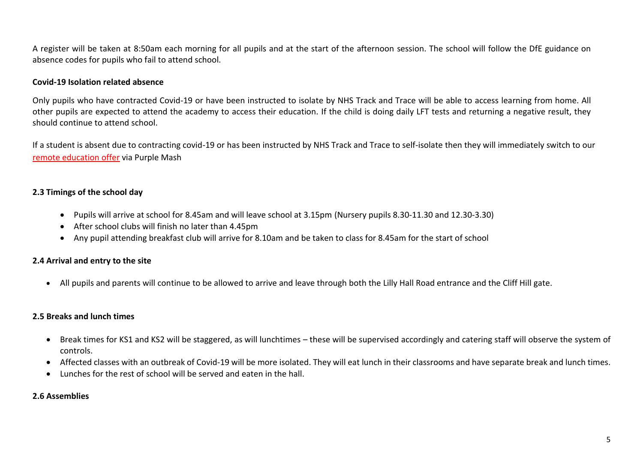A register will be taken at 8:50am each morning for all pupils and at the start of the afternoon session. The school will follow the DfE guidance on absence codes for pupils who fail to attend school.

#### **Covid-19 Isolation related absence**

Only pupils who have contracted Covid-19 or have been instructed to isolate by NHS Track and Trace will be able to access learning from home. All other pupils are expected to attend the academy to access their education. If the child is doing daily LFT tests and returning a negative result, they should continue to attend school.

If a student is absent due to contracting covid-19 or has been instructed by NHS Track and Trace to self-isolate then they will immediately switch to our [remote education offer](https://www.maltbylillyhallacademy.com/learning/home-learning-resources) via Purple Mash

## **2.3 Timings of the school day**

- Pupils will arrive at school for 8.45am and will leave school at 3.15pm (Nursery pupils 8.30-11.30 and 12.30-3.30)
- After school clubs will finish no later than 4.45pm
- Any pupil attending breakfast club will arrive for 8.10am and be taken to class for 8.45am for the start of school

### **2.4 Arrival and entry to the site**

• All pupils and parents will continue to be allowed to arrive and leave through both the Lilly Hall Road entrance and the Cliff Hill gate.

### **2.5 Breaks and lunch times**

- Break times for KS1 and KS2 will be staggered, as will lunchtimes these will be supervised accordingly and catering staff will observe the system of controls.
- Affected classes with an outbreak of Covid-19 will be more isolated. They will eat lunch in their classrooms and have separate break and lunch times.
- Lunches for the rest of school will be served and eaten in the hall.

#### **2.6 Assemblies**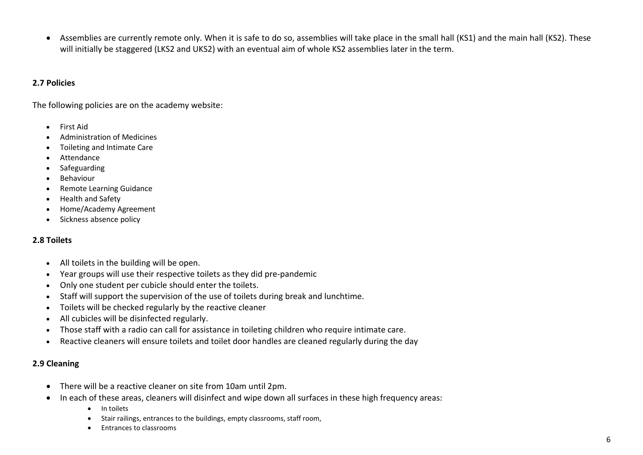• Assemblies are currently remote only. When it is safe to do so, assemblies will take place in the small hall (KS1) and the main hall (KS2). These will initially be staggered (LKS2 and UKS2) with an eventual aim of whole KS2 assemblies later in the term.

### **2.7 Policies**

The following policies are on the academy website:

- First Aid
- Administration of Medicines
- Toileting and Intimate Care
- Attendance
- Safeguarding
- Behaviour
- Remote Learning Guidance
- Health and Safety
- Home/Academy Agreement
- Sickness absence policy

# **2.8 Toilets**

- All toilets in the building will be open.
- Year groups will use their respective toilets as they did pre-pandemic
- Only one student per cubicle should enter the toilets.
- Staff will support the supervision of the use of toilets during break and lunchtime.
- Toilets will be checked regularly by the reactive cleaner
- All cubicles will be disinfected regularly.
- Those staff with a radio can call for assistance in toileting children who require intimate care.
- Reactive cleaners will ensure toilets and toilet door handles are cleaned regularly during the day

# **2.9 Cleaning**

- There will be a reactive cleaner on site from 10am until 2pm.
- In each of these areas, cleaners will disinfect and wipe down all surfaces in these high frequency areas:
	- In toilets
	- Stair railings, entrances to the buildings, empty classrooms, staff room,
	- Entrances to classrooms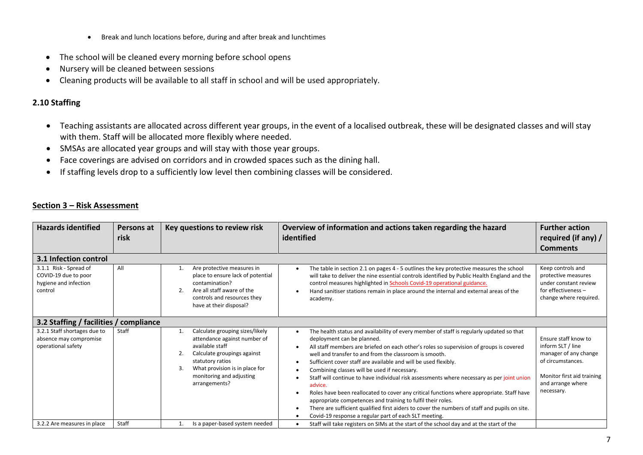- Break and lunch locations before, during and after break and lunchtimes
- The school will be cleaned every morning before school opens
- Nursery will be cleaned between sessions
- Cleaning products will be available to all staff in school and will be used appropriately.

# **2.10 Staffing**

- Teaching assistants are allocated across different year groups, in the event of a localised outbreak, these will be designated classes and will stay with them. Staff will be allocated more flexibly where needed.
- SMSAs are allocated year groups and will stay with those year groups.
- Face coverings are advised on corridors and in crowded spaces such as the dining hall.
- If staffing levels drop to a sufficiently low level then combining classes will be considered.

### **Section 3 – Risk Assessment**

| <b>Hazards identified</b>                                                          | Persons at<br>risk                     | Key questions to review risk                                                                                                                                                                                                     | Overview of information and actions taken regarding the hazard<br>identified                                                                                                                                                                                                                                                                                                                                                                                                                                                                                                                                                                                                                                                                                                                                                                                                                   | <b>Further action</b><br>required (if any) /<br><b>Comments</b>                                                                                          |  |  |  |
|------------------------------------------------------------------------------------|----------------------------------------|----------------------------------------------------------------------------------------------------------------------------------------------------------------------------------------------------------------------------------|------------------------------------------------------------------------------------------------------------------------------------------------------------------------------------------------------------------------------------------------------------------------------------------------------------------------------------------------------------------------------------------------------------------------------------------------------------------------------------------------------------------------------------------------------------------------------------------------------------------------------------------------------------------------------------------------------------------------------------------------------------------------------------------------------------------------------------------------------------------------------------------------|----------------------------------------------------------------------------------------------------------------------------------------------------------|--|--|--|
| 3.1 Infection control                                                              |                                        |                                                                                                                                                                                                                                  |                                                                                                                                                                                                                                                                                                                                                                                                                                                                                                                                                                                                                                                                                                                                                                                                                                                                                                |                                                                                                                                                          |  |  |  |
| 3.1.1 Risk - Spread of<br>COVID-19 due to poor<br>hygiene and infection<br>control | All                                    | Are protective measures in<br>place to ensure lack of potential<br>contamination?<br>Are all staff aware of the<br>2.<br>controls and resources they<br>have at their disposal?                                                  | The table in section 2.1 on pages 4 - 5 outlines the key protective measures the school<br>$\bullet$<br>will take to deliver the nine essential controls identified by Public Health England and the<br>control measures highlighted in Schools Covid-19 operational guidance.<br>Hand sanitiser stations remain in place around the internal and external areas of the<br>academy.                                                                                                                                                                                                                                                                                                                                                                                                                                                                                                            | Keep controls and<br>protective measures<br>under constant review<br>for effectiveness -<br>change where required.                                       |  |  |  |
|                                                                                    | 3.2 Staffing / facilities / compliance |                                                                                                                                                                                                                                  |                                                                                                                                                                                                                                                                                                                                                                                                                                                                                                                                                                                                                                                                                                                                                                                                                                                                                                |                                                                                                                                                          |  |  |  |
| 3.2.1 Staff shortages due to<br>absence may compromise<br>operational safety       | Staff                                  | Calculate grouping sizes/likely<br>1.<br>attendance against number of<br>available staff<br>Calculate groupings against<br>statutory ratios<br>What provision is in place for<br>3.<br>monitoring and adjusting<br>arrangements? | The health status and availability of every member of staff is regularly updated so that<br>$\bullet$<br>deployment can be planned.<br>All staff members are briefed on each other's roles so supervision of groups is covered<br>$\bullet$<br>well and transfer to and from the classroom is smooth.<br>Sufficient cover staff are available and will be used flexibly.<br>$\bullet$<br>Combining classes will be used if necessary.<br>$\bullet$<br>Staff will continue to have individual risk assessments where necessary as per joint union<br>advice.<br>Roles have been reallocated to cover any critical functions where appropriate. Staff have<br>appropriate competences and training to fulfil their roles.<br>There are sufficient qualified first aiders to cover the numbers of staff and pupils on site.<br>Covid-19 response a regular part of each SLT meeting.<br>$\bullet$ | Ensure staff know to<br>inform SLT / line<br>manager of any change<br>of circumstances.<br>Monitor first aid training<br>and arrange where<br>necessary. |  |  |  |
| 3.2.2 Are measures in place                                                        | Staff                                  | Is a paper-based system needed                                                                                                                                                                                                   | Staff will take registers on SIMs at the start of the school day and at the start of the<br>$\bullet$                                                                                                                                                                                                                                                                                                                                                                                                                                                                                                                                                                                                                                                                                                                                                                                          |                                                                                                                                                          |  |  |  |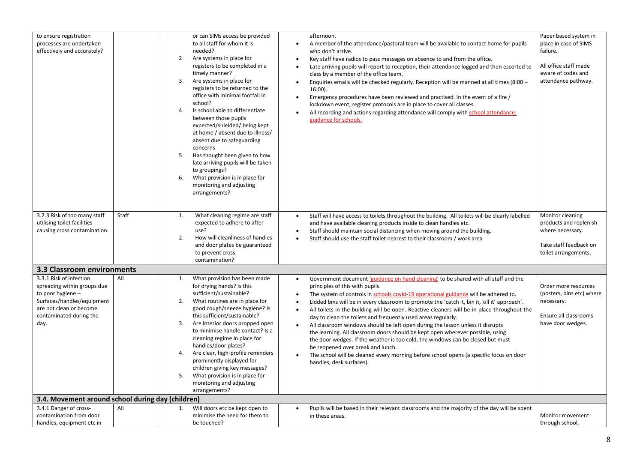| to ensure registration<br>processes are undertaken<br>effectively and accurately?                                                                                       |       | or can SIMs access be provided<br>to all staff for whom it is<br>needed?<br>Are systems in place for<br>2.<br>registers to be completed in a<br>timely manner?<br>Are systems in place for<br>3.<br>registers to be returned to the<br>office with minimal footfall in<br>school?<br>Is school able to differentiate<br>4.<br>between those pupils<br>expected/shielded/ being kept<br>at home / absent due to illness/<br>absent due to safeguarding<br>concerns<br>Has thought been given to how<br>5.<br>late arriving pupils will be taken<br>to groupings?<br>What provision is in place for<br>6.<br>monitoring and adjusting<br>arrangements? | afternoon.<br>A member of the attendance/pastoral team will be available to contact home for pupils<br>$\bullet$<br>who don't arrive.<br>Key staff have radios to pass messages on absence to and from the office.<br>$\bullet$<br>Late arriving pupils will report to reception, their attendance logged and then escorted to<br>$\bullet$<br>class by a member of the office team.<br>Enquiries emails will be checked regularly. Reception will be manned at all times (8:00 -<br>$\bullet$<br>$16:00$ ).<br>Emergency procedures have been reviewed and practised. In the event of a fire /<br>$\bullet$<br>lockdown event, register protocols are in place to cover all classes.<br>All recording and actions regarding attendance will comply with school attendance:<br>$\bullet$<br>guidance for schools.                                                                                                                                                | Paper based system in<br>place in case of SIMS<br>failure.<br>All office staff made<br>aware of codes and<br>attendance pathway. |
|-------------------------------------------------------------------------------------------------------------------------------------------------------------------------|-------|------------------------------------------------------------------------------------------------------------------------------------------------------------------------------------------------------------------------------------------------------------------------------------------------------------------------------------------------------------------------------------------------------------------------------------------------------------------------------------------------------------------------------------------------------------------------------------------------------------------------------------------------------|------------------------------------------------------------------------------------------------------------------------------------------------------------------------------------------------------------------------------------------------------------------------------------------------------------------------------------------------------------------------------------------------------------------------------------------------------------------------------------------------------------------------------------------------------------------------------------------------------------------------------------------------------------------------------------------------------------------------------------------------------------------------------------------------------------------------------------------------------------------------------------------------------------------------------------------------------------------|----------------------------------------------------------------------------------------------------------------------------------|
| 3.2.3 Risk of too many staff<br>utilising toilet facilities<br>causing cross contamination.                                                                             | Staff | 1.<br>What cleaning regime are staff<br>expected to adhere to after<br>use?<br>2.<br>How will cleanliness of handles<br>and door plates be guaranteed<br>to prevent cross<br>contamination?                                                                                                                                                                                                                                                                                                                                                                                                                                                          | Staff will have access to toilets throughout the building. All toilets will be clearly labelled<br>$\bullet$<br>and have available cleaning products inside to clean handles etc.<br>Staff should maintain social distancing when moving around the building.<br>$\bullet$<br>Staff should use the staff toilet nearest to their classroom / work area<br>$\bullet$                                                                                                                                                                                                                                                                                                                                                                                                                                                                                                                                                                                              | Monitor cleaning<br>products and replenish<br>where necessary.<br>Take staff feedback on<br>toilet arrangements.                 |
| 3.3 Classroom environments                                                                                                                                              |       |                                                                                                                                                                                                                                                                                                                                                                                                                                                                                                                                                                                                                                                      |                                                                                                                                                                                                                                                                                                                                                                                                                                                                                                                                                                                                                                                                                                                                                                                                                                                                                                                                                                  |                                                                                                                                  |
| 3.3.1 Risk of infection<br>spreading within groups due<br>to poor hygiene -<br>Surfaces/handles/equipment<br>are not clean or become<br>contaminated during the<br>day. | All   | What provision has been made<br>1.<br>for drying hands? Is this<br>sufficient/sustainable?<br>What routines are in place for<br>2.<br>good cough/sneeze hygiene? Is<br>this sufficient/sustainable?<br>3.<br>Are interior doors propped open<br>to minimise handle contact? Is a<br>cleaning regime in place for<br>handles/door plates?<br>Are clear, high-profile reminders<br>4.<br>prominently displayed for<br>children giving key messages?<br>What provision is in place for<br>5.<br>monitoring and adjusting<br>arrangements?                                                                                                               | Government document 'guidance on hand cleaning' to be shared with all staff and the<br>$\bullet$<br>principles of this with pupils.<br>The system of controls in schools covid-19 operational guidance will be adhered to.<br>$\bullet$<br>Lidded bins will be in every classroom to promote the 'catch it, bin it, kill it' approach'.<br>$\bullet$<br>All toilets in the building will be open. Reactive cleaners will be in place throughout the<br>$\bullet$<br>day to clean the toilets and frequently used areas regularly.<br>All classroom windows should be left open during the lesson unless it disrupts<br>the learning. All classroom doors should be kept open wherever possible, using<br>the door wedges. If the weather is too cold, the windows can be closed but must<br>be reopened over break and lunch.<br>The school will be cleaned every morning before school opens (a specific focus on door<br>$\bullet$<br>handles, desk surfaces). | Order more resources<br>(posters, bins etc) where<br>necessary.<br>Ensure all classrooms<br>have door wedges.                    |
| 3.4. Movement around school during day (children)                                                                                                                       |       |                                                                                                                                                                                                                                                                                                                                                                                                                                                                                                                                                                                                                                                      |                                                                                                                                                                                                                                                                                                                                                                                                                                                                                                                                                                                                                                                                                                                                                                                                                                                                                                                                                                  |                                                                                                                                  |
| 3.4.1 Danger of cross-<br>contamination from door<br>handles, equipment etc in                                                                                          | All   | Will doors etc be kept open to<br>1.<br>minimise the need for them to<br>be touched?                                                                                                                                                                                                                                                                                                                                                                                                                                                                                                                                                                 | Pupils will be based in their relevant classrooms and the majority of the day will be spent<br>$\bullet$<br>in these areas.                                                                                                                                                                                                                                                                                                                                                                                                                                                                                                                                                                                                                                                                                                                                                                                                                                      | Monitor movement<br>through school,                                                                                              |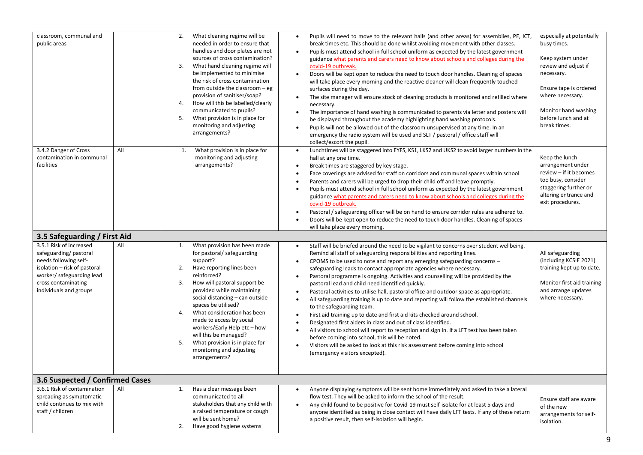| classroom, communal and<br>public areas                                                                                                                      |     | 2.<br>What cleaning regime will be<br>needed in order to ensure that<br>handles and door plates are not<br>sources of cross contamination?<br>What hand cleaning regime will<br>3.<br>be implemented to minimise<br>the risk of cross contamination<br>from outside the classroom - eg<br>provision of sanitiser/soap?<br>How will this be labelled/clearly<br>4.<br>communicated to pupils?<br>5.<br>What provision is in place for<br>monitoring and adjusting<br>arrangements? | $\bullet$<br>$\bullet$<br>$\bullet$<br>$\bullet$<br>$\bullet$<br>$\bullet$                                | Pupils will need to move to the relevant halls (and other areas) for assemblies, PE, ICT,<br>break times etc. This should be done whilst avoiding movement with other classes.<br>Pupils must attend school in full school uniform as expected by the latest government<br>guidance what parents and carers need to know about schools and colleges during the<br>covid-19 outbreak.<br>Doors will be kept open to reduce the need to touch door handles. Cleaning of spaces<br>will take place every morning and the reactive cleaner will clean frequently touched<br>surfaces during the day.<br>The site manager will ensure stock of cleaning products is monitored and refilled where<br>necessary.<br>The importance of hand washing is communicated to parents via letter and posters will<br>be displayed throughout the academy highlighting hand washing protocols.<br>Pupils will not be allowed out of the classroom unsupervised at any time. In an<br>emergency the radio system will be used and SLT / pastoral / office staff will<br>collect/escort the pupil.                     | especially at potentially<br>busy times.<br>Keep system under<br>review and adjust if<br>necessary.<br>Ensure tape is ordered<br>where necessary.<br>Monitor hand washing<br>before lunch and at<br>break times. |
|--------------------------------------------------------------------------------------------------------------------------------------------------------------|-----|-----------------------------------------------------------------------------------------------------------------------------------------------------------------------------------------------------------------------------------------------------------------------------------------------------------------------------------------------------------------------------------------------------------------------------------------------------------------------------------|-----------------------------------------------------------------------------------------------------------|------------------------------------------------------------------------------------------------------------------------------------------------------------------------------------------------------------------------------------------------------------------------------------------------------------------------------------------------------------------------------------------------------------------------------------------------------------------------------------------------------------------------------------------------------------------------------------------------------------------------------------------------------------------------------------------------------------------------------------------------------------------------------------------------------------------------------------------------------------------------------------------------------------------------------------------------------------------------------------------------------------------------------------------------------------------------------------------------------|------------------------------------------------------------------------------------------------------------------------------------------------------------------------------------------------------------------|
| 3.4.2 Danger of Cross<br>contamination in communal<br>facilities                                                                                             | All | What provision is in place for<br>1.<br>monitoring and adjusting<br>arrangements?                                                                                                                                                                                                                                                                                                                                                                                                 | $\bullet$<br>$\bullet$<br>$\bullet$<br>$\bullet$<br>$\bullet$<br>$\bullet$                                | Lunchtimes will be staggered into EYFS, KS1, LKS2 and UKS2 to avoid larger numbers in the<br>hall at any one time.<br>Break times are staggered by key stage.<br>Face coverings are advised for staff on corridors and communal spaces within school<br>Parents and carers will be urged to drop their child off and leave promptly.<br>Pupils must attend school in full school uniform as expected by the latest government<br>guidance what parents and carers need to know about schools and colleges during the<br>covid-19 outbreak.<br>Pastoral / safeguarding officer will be on hand to ensure corridor rules are adhered to.<br>Doors will be kept open to reduce the need to touch door handles. Cleaning of spaces<br>will take place every morning.                                                                                                                                                                                                                                                                                                                                     | Keep the lunch<br>arrangement under<br>review - if it becomes<br>too busy, consider<br>staggering further or<br>altering entrance and<br>exit procedures.                                                        |
| 3.5 Safeguarding / First Aid<br>3.5.1 Risk of increased                                                                                                      |     |                                                                                                                                                                                                                                                                                                                                                                                                                                                                                   |                                                                                                           |                                                                                                                                                                                                                                                                                                                                                                                                                                                                                                                                                                                                                                                                                                                                                                                                                                                                                                                                                                                                                                                                                                      |                                                                                                                                                                                                                  |
| safeguarding/pastoral<br>needs following self-<br>isolation - risk of pastoral<br>worker/ safeguarding lead<br>cross contaminating<br>individuals and groups | All | What provision has been made<br>1.<br>for pastoral/ safeguarding<br>support?<br>2.<br>Have reporting lines been<br>reinforced?<br>3.<br>How will pastoral support be<br>provided while maintaining<br>social distancing - can outside<br>spaces be utilised?<br>What consideration has been<br>4.<br>made to access by social<br>workers/Early Help etc-how<br>will this be managed?<br>5.<br>What provision is in place for<br>monitoring and adjusting<br>arrangements?         | $\bullet$<br>$\bullet$<br>$\bullet$<br>$\bullet$<br>$\bullet$<br>٠<br>$\bullet$<br>$\bullet$<br>$\bullet$ | Staff will be briefed around the need to be vigilant to concerns over student wellbeing.<br>Remind all staff of safeguarding responsibilities and reporting lines.<br>CPOMS to be used to note and report any emerging safeguarding concerns -<br>safeguarding leads to contact appropriate agencies where necessary.<br>Pastoral programme is ongoing. Activities and counselling will be provided by the<br>pastoral lead and child need identified quickly.<br>Pastoral activities to utilise hall, pastoral office and outdoor space as appropriate.<br>All safeguarding training is up to date and reporting will follow the established channels<br>to the safeguarding team.<br>First aid training up to date and first aid kits checked around school.<br>Designated first aiders in class and out of class identified.<br>All visitors to school will report to reception and sign in. If a LFT test has been taken<br>before coming into school, this will be noted.<br>Visitors will be asked to look at this risk assessment before coming into school<br>(emergency visitors excepted). | All safeguarding<br>(including KCSIE 2021)<br>training kept up to date.<br>Monitor first aid training<br>and arrange updates<br>where necessary.                                                                 |
| 3.6 Suspected / Confirmed Cases                                                                                                                              |     |                                                                                                                                                                                                                                                                                                                                                                                                                                                                                   |                                                                                                           |                                                                                                                                                                                                                                                                                                                                                                                                                                                                                                                                                                                                                                                                                                                                                                                                                                                                                                                                                                                                                                                                                                      |                                                                                                                                                                                                                  |
| 3.6.1 Risk of contamination<br>spreading as symptomatic<br>child continues to mix with<br>staff / children                                                   | All | Has a clear message been<br>1.<br>communicated to all<br>stakeholders that any child with<br>a raised temperature or cough<br>will be sent home?<br>Have good hygiene systems<br>2.                                                                                                                                                                                                                                                                                               | $\bullet$<br>$\bullet$                                                                                    | Anyone displaying symptoms will be sent home immediately and asked to take a lateral<br>flow test. They will be asked to inform the school of the result.<br>Any child found to be positive for Covid-19 must self-isolate for at least 5 days and<br>anyone identified as being in close contact will have daily LFT tests. If any of these return<br>a positive result, then self-isolation will begin.                                                                                                                                                                                                                                                                                                                                                                                                                                                                                                                                                                                                                                                                                            | Ensure staff are aware<br>of the new<br>arrangements for self-<br>isolation.                                                                                                                                     |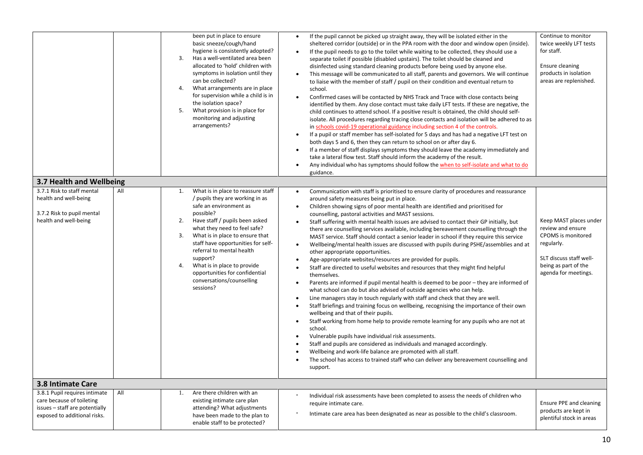|                                                                                                                              |     | been put in place to ensure<br>basic sneeze/cough/hand<br>hygiene is consistently adopted?<br>Has a well-ventilated area been<br>3.<br>allocated to 'hold' children with<br>symptoms in isolation until they<br>can be collected?<br>What arrangements are in place<br>4.<br>for supervision while a child is in<br>the isolation space?<br>What provision is in place for<br>5.<br>monitoring and adjusting<br>arrangements?       | If the pupil cannot be picked up straight away, they will be isolated either in the<br>$\bullet$<br>sheltered corridor (outside) or in the PPA room with the door and window open (inside).<br>If the pupil needs to go to the toilet while waiting to be collected, they should use a<br>$\bullet$<br>separate toilet if possible (disabled upstairs). The toilet should be cleaned and<br>disinfected using standard cleaning products before being used by anyone else.<br>This message will be communicated to all staff, parents and governors. We will continue<br>$\bullet$<br>to liaise with the member of staff / pupil on their condition and eventual return to<br>school.<br>Confirmed cases will be contacted by NHS Track and Trace with close contacts being<br>$\bullet$<br>identified by them. Any close contact must take daily LFT tests. If these are negative, the<br>child continues to attend school. If a positive result is obtained, the child should self-<br>isolate. All procedures regarding tracing close contacts and isolation will be adhered to as<br>in schools covid-19 operational guidance including section 4 of the controls.<br>If a pupil or staff member has self-isolated for 5 days and has had a negative LFT test on<br>$\bullet$<br>both days 5 and 6, then they can return to school on or after day 6.<br>If a member of staff displays symptoms they should leave the academy immediately and<br>$\bullet$<br>take a lateral flow test. Staff should inform the academy of the result.<br>Any individual who has symptoms should follow the when to self-isolate and what to do<br>$\bullet$<br>guidance.                                                                                                                                                                                     | Continue to monitor<br>twice weekly LFT tests<br>for staff.<br>Ensure cleaning<br>products in isolation<br>areas are replenished.                                 |  |
|------------------------------------------------------------------------------------------------------------------------------|-----|-------------------------------------------------------------------------------------------------------------------------------------------------------------------------------------------------------------------------------------------------------------------------------------------------------------------------------------------------------------------------------------------------------------------------------------|---------------------------------------------------------------------------------------------------------------------------------------------------------------------------------------------------------------------------------------------------------------------------------------------------------------------------------------------------------------------------------------------------------------------------------------------------------------------------------------------------------------------------------------------------------------------------------------------------------------------------------------------------------------------------------------------------------------------------------------------------------------------------------------------------------------------------------------------------------------------------------------------------------------------------------------------------------------------------------------------------------------------------------------------------------------------------------------------------------------------------------------------------------------------------------------------------------------------------------------------------------------------------------------------------------------------------------------------------------------------------------------------------------------------------------------------------------------------------------------------------------------------------------------------------------------------------------------------------------------------------------------------------------------------------------------------------------------------------------------------------------------------------------------------------------------------------------------------------|-------------------------------------------------------------------------------------------------------------------------------------------------------------------|--|
| 3.7 Health and Wellbeing                                                                                                     |     |                                                                                                                                                                                                                                                                                                                                                                                                                                     |                                                                                                                                                                                                                                                                                                                                                                                                                                                                                                                                                                                                                                                                                                                                                                                                                                                                                                                                                                                                                                                                                                                                                                                                                                                                                                                                                                                                                                                                                                                                                                                                                                                                                                                                                                                                                                                   |                                                                                                                                                                   |  |
| 3.7.1 Risk to staff mental<br>health and well-being<br>3.7.2 Risk to pupil mental<br>health and well-being                   | All | What is in place to reassure staff<br>1.<br>/ pupils they are working in as<br>safe an environment as<br>possible?<br>Have staff / pupils been asked<br>2.<br>what they need to feel safe?<br>What is in place to ensure that<br>3.<br>staff have opportunities for self-<br>referral to mental health<br>support?<br>What is in place to provide<br>4.<br>opportunities for confidential<br>conversations/counselling<br>sessions? | Communication with staff is prioritised to ensure clarity of procedures and reassurance<br>$\bullet$<br>around safety measures being put in place.<br>Children showing signs of poor mental health are identified and prioritised for<br>$\bullet$<br>counselling, pastoral activities and MAST sessions.<br>Staff suffering with mental health issues are advised to contact their GP initially, but<br>$\bullet$<br>there are counselling services available, including bereavement counselling through the<br>MAST service. Staff should contact a senior leader in school if they require this service<br>Wellbeing/mental health issues are discussed with pupils during PSHE/assemblies and at<br>$\bullet$<br>other appropriate opportunities.<br>Age-appropriate websites/resources are provided for pupils.<br>$\bullet$<br>Staff are directed to useful websites and resources that they might find helpful<br>$\bullet$<br>themselves.<br>Parents are informed if pupil mental health is deemed to be poor - they are informed of<br>$\bullet$<br>what school can do but also advised of outside agencies who can help.<br>Line managers stay in touch regularly with staff and check that they are well.<br>$\bullet$<br>Staff briefings and training focus on wellbeing, recognising the importance of their own<br>$\bullet$<br>wellbeing and that of their pupils.<br>Staff working from home help to provide remote learning for any pupils who are not at<br>$\bullet$<br>school.<br>Vulnerable pupils have individual risk assessments.<br>$\bullet$<br>Staff and pupils are considered as individuals and managed accordingly.<br>$\bullet$<br>Wellbeing and work-life balance are promoted with all staff.<br>$\bullet$<br>The school has access to trained staff who can deliver any bereavement counselling and<br>support. | Keep MAST places under<br>review and ensure<br><b>CPOMS</b> is monitored<br>regularly.<br>SLT discuss staff well-<br>being as part of the<br>agenda for meetings. |  |
| <b>3.8 Intimate Care</b>                                                                                                     |     |                                                                                                                                                                                                                                                                                                                                                                                                                                     |                                                                                                                                                                                                                                                                                                                                                                                                                                                                                                                                                                                                                                                                                                                                                                                                                                                                                                                                                                                                                                                                                                                                                                                                                                                                                                                                                                                                                                                                                                                                                                                                                                                                                                                                                                                                                                                   |                                                                                                                                                                   |  |
| 3.8.1 Pupil requires intimate<br>care because of toileting<br>issues - staff are potentially<br>exposed to additional risks. | All | Are there children with an<br>1.<br>existing intimate care plan<br>attending? What adjustments<br>have been made to the plan to<br>enable staff to be protected?                                                                                                                                                                                                                                                                    | Individual risk assessments have been completed to assess the needs of children who<br>require intimate care.<br>Intimate care area has been designated as near as possible to the child's classroom.                                                                                                                                                                                                                                                                                                                                                                                                                                                                                                                                                                                                                                                                                                                                                                                                                                                                                                                                                                                                                                                                                                                                                                                                                                                                                                                                                                                                                                                                                                                                                                                                                                             | Ensure PPE and cleaning<br>products are kept in<br>plentiful stock in areas                                                                                       |  |